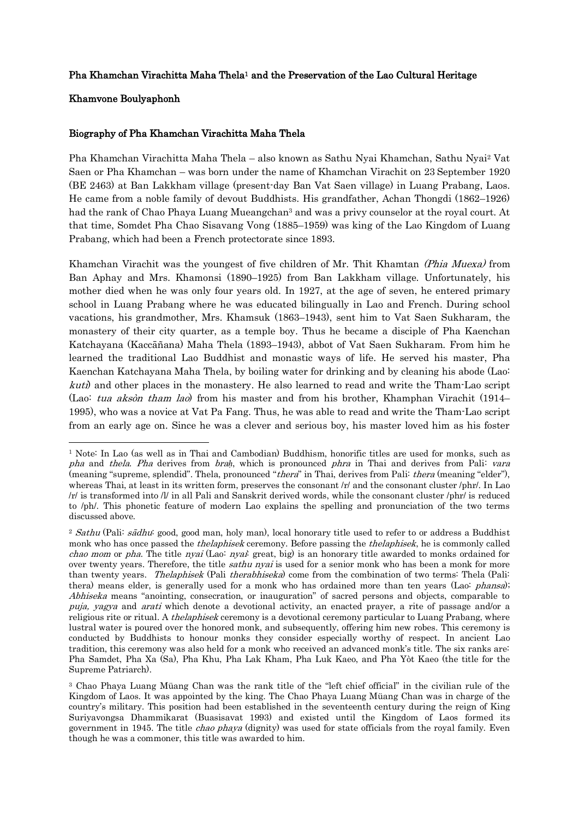## Pha Khamchan Virachitta Maha Thela1 and the Preservation of the Lao Cultural Heritage

## Khamvone Boulyaphonh

1

## Biography of Pha Khamchan Virachitta Maha Thela

Pha Khamchan Virachitta Maha Thela – also known as Sathu Nyai Khamchan, Sathu Nyai<sup>2</sup> Vat Saen or Pha Khamchan – was born under the name of Khamchan Virachit on 23 September 1920 (BE 2463) at Ban Lakkham village (present-day Ban Vat Saen village) in Luang Prabang, Laos. He came from a noble family of devout Buddhists. His grandfather, Achan Thongdi (1862–1926) had the rank of Chao Phaya Luang Mueangchan<sup>3</sup> and was a privy counselor at the royal court. At that time, Somdet Pha Chao Sisavang Vong (1885–1959) was king of the Lao Kingdom of Luang Prabang, which had been a French protectorate since 1893.

Khamchan Virachit was the youngest of five children of Mr. Thit Khamtan *(Phia Muexa)* from Ban Aphay and Mrs. Khamonsi (1890–1925) from Ban Lakkham village. Unfortunately, his mother died when he was only four years old. In 1927, at the age of seven, he entered primary school in Luang Prabang where he was educated bilingually in Lao and French. During school vacations, his grandmother, Mrs. Khamsuk (1863–1943), sent him to Vat Saen Sukharam, the monastery of their city quarter, as a temple boy. Thus he became a disciple of Pha Kaenchan Katchayana (Kaccāñana) Maha Thela (1893–1943), abbot of Vat Saen Sukharam. From him he learned the traditional Lao Buddhist and monastic ways of life. He served his master, Pha Kaenchan Katchayana Maha Thela, by boiling water for drinking and by cleaning his abode (Lao: kuti) and other places in the monastery. He also learned to read and write the Tham-Lao script (Lao: tua aksòn tham lao) from his master and from his brother, Khamphan Virachit (1914– 1995), who was a novice at Vat Pa Fang. Thus, he was able to read and write the Tham-Lao script from an early age on. Since he was a clever and serious boy, his master loved him as his foster

<sup>1</sup> Note: In Lao (as well as in Thai and Cambodian) Buddhism, honorific titles are used for monks, such as pha and thela. Pha derives from bra*ḥ*, which is pronounced phra in Thai and derives from Pali: vara (meaning "supreme, splendid". Thela, pronounced "thera" in Thai, derives from Pali: thera (meaning "elder"), whereas Thai, at least in its written form, preserves the consonant /r/ and the consonant cluster /phr/. In Lao /r/ is transformed into /l/ in all Pali and Sanskrit derived words, while the consonant cluster /phr/ is reduced to /ph/. This phonetic feature of modern Lao explains the spelling and pronunciation of the two terms discussed above.

<sup>&</sup>lt;sup>2</sup> Sathu (Pali: sādhu: good, good man, holy man), local honorary title used to refer to or address a Buddhist monk who has once passed the thelaphisek ceremony. Before passing the thelaphisek, he is commonly called chao mom or pha. The title nyai (Lao: nyai: great, big) is an honorary title awarded to monks ordained for over twenty years. Therefore, the title *sathu nyai* is used for a senior monk who has been a monk for more than twenty years. Thelaphisek (Pali therabhiseka) come from the combination of two terms: Thela (Pali: thera) means elder, is generally used for a monk who has ordained more than ten years (Lao: *phansa*); Abhiseka means "anointing, consecration, or inauguration" of sacred persons and objects, comparable to [puja,](http://en.wikipedia.org/wiki/Puja_%28Hinduism%29) [yagya](http://en.wikipedia.org/wiki/Yajna) and [arati](http://en.wikipedia.org/wiki/Aarti) which denote a [devotional](http://en.wikipedia.org/wiki/Prayer) activity, an enacted [prayer,](http://en.wikipedia.org/wiki/Prayer) a [rite of passage](http://en.wikipedia.org/wiki/Rite_of_passage) and/or a religious [rite](http://en.wikipedia.org/wiki/Rite) or [ritual.](http://en.wikipedia.org/wiki/Ritual) A *thelaphisek* ceremony is a devotional ceremony particular to Luang Prabang, where lustral water is poured over the honored monk, and subsequently, offering him new robes. This ceremony is conducted by Buddhists to honour monks they consider especially worthy of respect. In ancient Lao tradition, this ceremony was also held for a monk who received an advanced monk's title. The six ranks are: Pha Samdet, Pha Xa (Sa), Pha Khu, Pha Lak Kham, Pha Luk Kaeo, and Pha Yòt Kaeo (the title for the Supreme Patriarch).

<sup>3</sup> Chao Phaya Luang Müang Chan was the rank title of the "left chief official" in the civilian rule of the Kingdom of Laos. It was appointed by the king. The Chao Phaya Luang Müang Chan was in charge of the country's military. This position had been established in the seventeenth century during the reign of King Suriyavongsa Dhammikarat (Buasisavat 1993) and existed until the Kingdom of Laos formed its government in 1945. The title *chao phaya* (dignity) was used for state officials from the royal family. Even though he was a commoner, this title was awarded to him.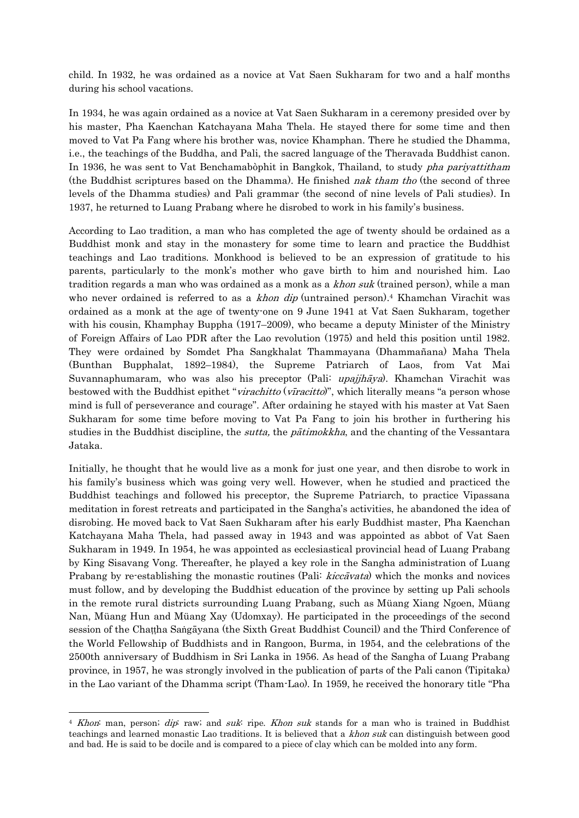child. In 1932, he was ordained as a novice at Vat Saen Sukharam for two and a half months during his school vacations.

In 1934, he was again ordained as a novice at Vat Saen Sukharam in a ceremony presided over by his master, Pha Kaenchan Katchayana Maha Thela. He stayed there for some time and then moved to Vat Pa Fang where his brother was, novice Khamphan. There he studied the Dhamma, i.e., the teachings of the Buddha, and Pali, the sacred language of the Theravada Buddhist canon. In 1936, he was sent to Vat Benchamabòphit in Bangkok, Thailand, to study *pha pariyattitham* (the Buddhist scriptures based on the Dhamma). He finished nak tham tho (the second of three levels of the Dhamma studies) and Pali grammar (the second of nine levels of Pali studies). In 1937, he returned to Luang Prabang where he disrobed to work in his family's business.

According to Lao tradition, a man who has completed the age of twenty should be ordained as a Buddhist monk and stay in the monastery for some time to learn and practice the Buddhist teachings and Lao traditions. Monkhood is believed to be an expression of gratitude to his parents, particularly to the monk's mother who gave birth to him and nourished him. Lao tradition regards a man who was ordained as a monk as a *khon suk* (trained person), while a man who never ordained is referred to as a *khon dip* (untrained person).<sup>4</sup> Khamchan Virachit was ordained as a monk at the age of twenty-one on 9 June 1941 at Vat Saen Sukharam, together with his cousin, Khamphay Buppha (1917–2009), who became a deputy Minister of the Ministry of Foreign Affairs of Lao PDR after the Lao revolution (1975) and held this position until 1982. They were ordained by Somdet Pha Sangkhalat Thammayana (Dhammañana) Maha Thela (Bunthan Bupphalat, 1892–1984), the Supreme Patriarch of Laos, from Vat Mai Suvannaphumaram, who was also his preceptor (Pali: upajjhāya). Khamchan Virachit was bestowed with the Buddhist epithet "*virachitto* (*viracitto*)", which literally means "a person whose mind is full of perseverance and courage". After ordaining he stayed with his master at Vat Saen Sukharam for some time before moving to Vat Pa Fang to join his brother in furthering his studies in the Buddhist discipline, the *sutta*, the *patimokkha*, and the chanting of the Vessantara Jataka.

Initially, he thought that he would live as a monk for just one year, and then disrobe to work in his family's business which was going very well. However, when he studied and practiced the Buddhist teachings and followed his preceptor, the Supreme Patriarch, to practice Vipassana meditation in forest retreats and participated in the Sangha's activities, he abandoned the idea of disrobing. He moved back to Vat Saen Sukharam after his early Buddhist master, Pha Kaenchan Katchayana Maha Thela, had passed away in 1943 and was appointed as abbot of Vat Saen Sukharam in 1949. In 1954, he was appointed as ecclesiastical provincial head of Luang Prabang by King Sisavang Vong. Thereafter, he played a key role in the Sangha administration of Luang Prabang by re-establishing the monastic routines (Pali: kiccavata) which the monks and novices must follow, and by developing the Buddhist education of the province by setting up Pali schools in the remote rural districts surrounding Luang Prabang, such as Müang Xiang Ngoen, Müang Nan, Müang Hun and Müang Xay (Udomxay). He participated in the proceedings of the second session of the Chaṭṭha Saṅgāyana (the Sixth Great Buddhist Council) and the Third Conference of the World Fellowship of Buddhists and in Rangoon, Burma, in 1954, and the celebrations of the 2500th anniversary of Buddhism in Sri Lanka in 1956. As head of the Sangha of Luang Prabang province, in 1957, he was strongly involved in the publication of parts of the Pali canon (Tipitaka) in the Lao variant of the Dhamma script (Tham-Lao). In 1959, he received the honorary title "Pha

-

<sup>&</sup>lt;sup>4</sup> Khon: man, person; dip: raw; and suk: ripe. Khon suk stands for a man who is trained in Buddhist teachings and learned monastic Lao traditions. It is believed that a khon suk can distinguish between good and bad. He is said to be docile and is compared to a piece of clay which can be molded into any form.